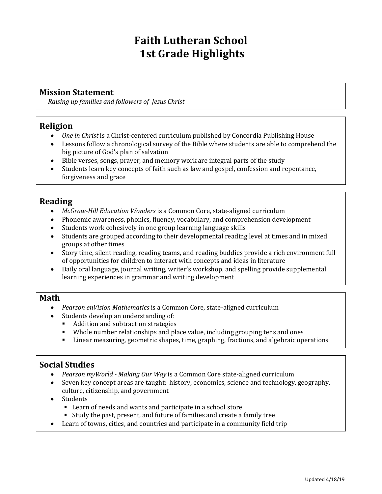# **Faith Lutheran School 1st Grade Highlights**

#### **Mission Statement**

*Raising up families and followers of Jesus Christ*

#### **Religion**

- *One in Christ* is a Christ-centered curriculum published by Concordia Publishing House
- Lessons follow a chronological survey of the Bible where students are able to comprehend the big picture of God's plan of salvation
- Bible verses, songs, prayer, and memory work are integral parts of the study
- Students learn key concepts of faith such as law and gospel, confession and repentance, forgiveness and grace

## **Reading**

- *McGraw-Hill Education Wonders* is a Common Core, state-aligned curriculum
- Phonemic awareness, phonics, fluency, vocabulary, and comprehension development
- Students work cohesively in one group learning language skills
- Students are grouped according to their developmental reading level at times and in mixed groups at other times
- Story time, silent reading, reading teams, and reading buddies provide a rich environment full of opportunities for children to interact with concepts and ideas in literature
- Daily oral language, journal writing, writer's workshop, and spelling provide supplemental learning experiences in grammar and writing development

#### **Math**

- *Pearson enVision Mathematics* is a Common Core, state-aligned curriculum
- Students develop an understanding of:
	- Addition and subtraction strategies
	- Whole number relationships and place value, including grouping tens and ones
	- Linear measuring, geometric shapes, time, graphing, fractions, and algebraic operations

## **Social Studies**

- *Pearson myWorld - Making Our Way* is a Common Core state-aligned curriculum
- Seven key concept areas are taught: history, economics, science and technology, geography, culture, citizenship, and government
- Students
	- Learn of needs and wants and participate in a school store
	- Study the past, present, and future of families and create a family tree
- Learn of towns, cities, and countries and participate in a community field trip